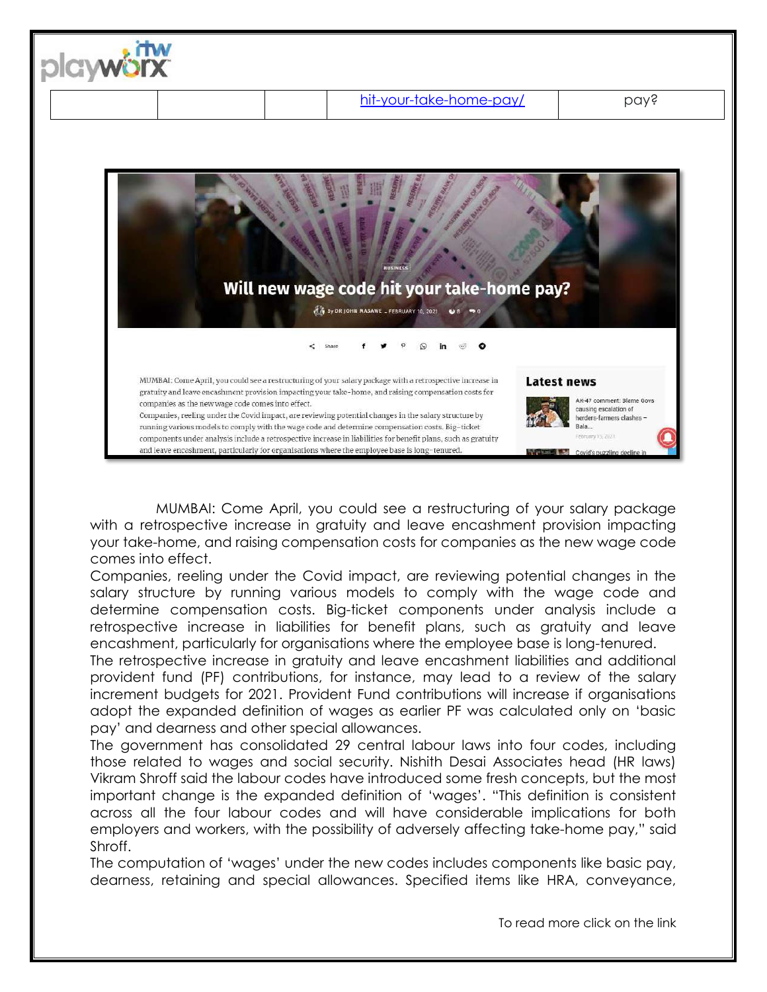

MUMBAI: Come April, you could see a restructuring of your salary package with a retrospective increase in gratuity and leave encashment provision impacting your take-home, and raising compensation costs for companies as the new wage code comes into effect.

Companies, reeling under the Covid impact, are reviewing potential changes in the salary structure by running various models to comply with the wage code and determine compensation costs. Big-ticket components under analysis include a retrospective increase in liabilities for benefit plans, such as gratuity and leave encashment, particularly for organisations where the employee base is long-tenured.

The retrospective increase in gratuity and leave encashment liabilities and additional provident fund (PF) contributions, for instance, may lead to a review of the salary increment budgets for 2021. Provident Fund contributions will increase if organisations adopt the expanded definition of wages as earlier PF was calculated only on 'basic pay' and dearness and other special allowances.

The government has consolidated 29 central labour laws into four codes, including those related to wages and social security. Nishith Desai Associates head (HR laws) Vikram Shroff said the labour codes have introduced some fresh concepts, but the most important change is the expanded definition of 'wages'. "This definition is consistent across all the four labour codes and will have considerable implications for both employers and workers, with the possibility of adversely affecting take-home pay," said Shroff.

The computation of 'wages' under the new codes includes components like basic pay, dearness, retaining and special allowances. Specified items like HRA, conveyance,

To read more click on the link